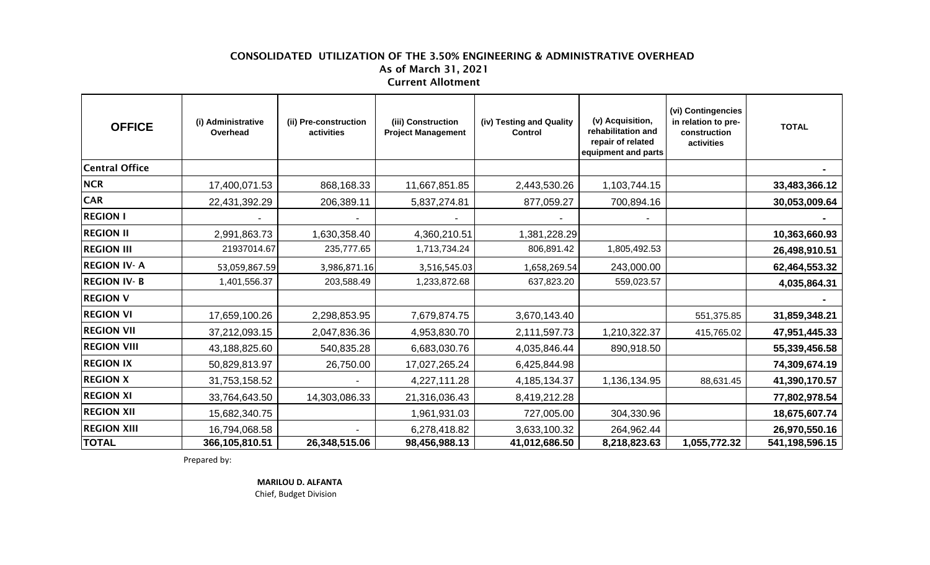## CONSOLIDATED UTILIZATION OF THE 3.50% ENGINEERING & ADMINISTRATIVE OVERHEAD As of March 31, 2021 Current Allotment

| <b>OFFICE</b>      | (i) Administrative<br>Overhead | (ii) Pre-construction<br>activities | (iii) Construction<br><b>Project Management</b> | (iv) Testing and Quality<br><b>Control</b> | (v) Acquisition,<br>rehabilitation and<br>repair of related<br>equipment and parts | (vi) Contingencies<br>in relation to pre-<br>construction<br>activities | <b>TOTAL</b>   |
|--------------------|--------------------------------|-------------------------------------|-------------------------------------------------|--------------------------------------------|------------------------------------------------------------------------------------|-------------------------------------------------------------------------|----------------|
| Central Office     |                                |                                     |                                                 |                                            |                                                                                    |                                                                         |                |
| <b>NCR</b>         | 17,400,071.53                  | 868,168.33                          | 11,667,851.85                                   | 2,443,530.26                               | 1,103,744.15                                                                       |                                                                         | 33,483,366.12  |
| <b>CAR</b>         | 22,431,392.29                  | 206,389.11                          | 5,837,274.81                                    | 877,059.27                                 | 700,894.16                                                                         |                                                                         | 30,053,009.64  |
| <b>REGION I</b>    |                                |                                     |                                                 |                                            |                                                                                    |                                                                         |                |
| <b>REGION II</b>   | 2,991,863.73                   | 630,358.40                          | 4,360,210.51                                    | 1,381,228.29                               |                                                                                    |                                                                         | 10,363,660.93  |
| <b>REGION III</b>  | 21937014.67                    | 235,777.65                          | 1,713,734.24                                    | 806,891.42                                 | 1,805,492.53                                                                       |                                                                         | 26,498,910.51  |
| <b>REGION IV-A</b> | 53,059,867.59                  | 3,986,871.16                        | 3,516,545.03                                    | 1,658,269.54                               | 243,000.00                                                                         |                                                                         | 62,464,553.32  |
| <b>REGION IV-B</b> | 1,401,556.37                   | 203,588.49                          | 1,233,872.68                                    | 637,823.20                                 | 559,023.57                                                                         |                                                                         | 4,035,864.31   |
| <b>REGION V</b>    |                                |                                     |                                                 |                                            |                                                                                    |                                                                         |                |
| <b>REGION VI</b>   | 17,659,100.26                  | 2,298,853.95                        | 7,679,874.75                                    | 3,670,143.40                               |                                                                                    | 551,375.85                                                              | 31,859,348.21  |
| <b>REGION VII</b>  | 37,212,093.15                  | 2,047,836.36                        | 4,953,830.70                                    | 2,111,597.73                               | 1,210,322.37                                                                       | 415,765.02                                                              | 47,951,445.33  |
| <b>REGION VIII</b> | 43,188,825.60                  | 540,835.28                          | 6,683,030.76                                    | 4,035,846.44                               | 890,918.50                                                                         |                                                                         | 55,339,456.58  |
| <b>REGION IX</b>   | 50,829,813.97                  | 26,750.00                           | 17,027,265.24                                   | 6,425,844.98                               |                                                                                    |                                                                         | 74,309,674.19  |
| <b>REGION X</b>    | 31,753,158.52                  |                                     | 4,227,111.28                                    | 4, 185, 134. 37                            | 1,136,134.95                                                                       | 88,631.45                                                               | 41,390,170.57  |
| <b>REGION XI</b>   | 33,764,643.50                  | 14,303,086.33                       | 21,316,036.43                                   | 8,419,212.28                               |                                                                                    |                                                                         | 77,802,978.54  |
| <b>REGION XII</b>  | 15,682,340.75                  |                                     | 1,961,931.03                                    | 727,005.00                                 | 304,330.96                                                                         |                                                                         | 18,675,607.74  |
| <b>REGION XIII</b> | 16,794,068.58                  |                                     | 6,278,418.82                                    | 3,633,100.32                               | 264,962.44                                                                         |                                                                         | 26,970,550.16  |
| <b>TOTAL</b>       | 366,105,810.51                 | 26,348,515.06                       | 98,456,988.13                                   | 41,012,686.50                              | 8,218,823.63                                                                       | 1,055,772.32                                                            | 541,198,596.15 |

Prepared by:

 **MARILOU D. ALFANTA**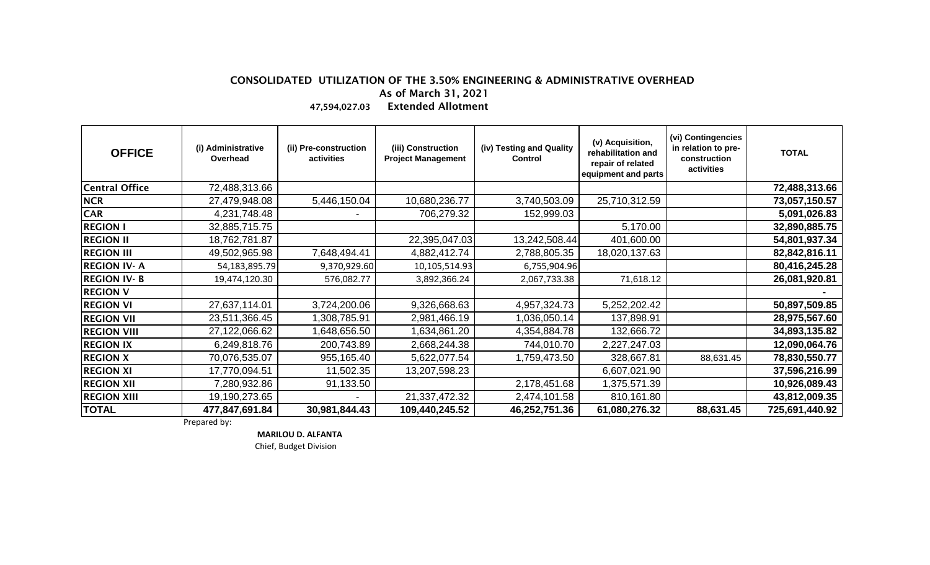## CONSOLIDATED UTILIZATION OF THE 3.50% ENGINEERING & ADMINISTRATIVE OVERHEAD As of March 31, 2021 47,594,027.03 Extended Allotment

| <b>OFFICE</b>         | (i) Administrative<br>Overhead | (ii) Pre-construction<br>activities | (iii) Construction<br><b>Project Management</b> | (iv) Testing and Quality<br><b>Control</b> | (v) Acquisition,<br>rehabilitation and<br>repair of related<br>equipment and parts | (vi) Contingencies<br>in relation to pre-<br>construction<br>activities | <b>TOTAL</b>   |
|-----------------------|--------------------------------|-------------------------------------|-------------------------------------------------|--------------------------------------------|------------------------------------------------------------------------------------|-------------------------------------------------------------------------|----------------|
| <b>Central Office</b> | 72,488,313.66                  |                                     |                                                 |                                            |                                                                                    |                                                                         | 72,488,313.66  |
| <b>NCR</b>            | 27,479,948.08                  | 5,446,150.04                        | 10,680,236.77                                   | 3,740,503.09                               | 25,710,312.59                                                                      |                                                                         | 73,057,150.57  |
| <b>CAR</b>            | 4,231,748.48                   |                                     | 706,279.32                                      | 152,999.03                                 |                                                                                    |                                                                         | 5,091,026.83   |
| <b>REGION I</b>       | 32,885,715.75                  |                                     |                                                 |                                            | 5,170.00                                                                           |                                                                         | 32,890,885.75  |
| <b>REGION II</b>      | 18,762,781.87                  |                                     | 22,395,047.03                                   | 13,242,508.44                              | 401,600.00                                                                         |                                                                         | 54,801,937.34  |
| <b>REGION III</b>     | 49,502,965.98                  | 7,648,494.41                        | 4,882,412.74                                    | 2,788,805.35                               | 18,020,137.63                                                                      |                                                                         | 82,842,816.11  |
| <b>REGION IV-A</b>    | 54,183,895.79                  | 9,370,929.60                        | 10,105,514.93                                   | 6,755,904.96                               |                                                                                    |                                                                         | 80,416,245.28  |
| <b>REGION IV-B</b>    | 19,474,120.30                  | 576,082.77                          | 3,892,366.24                                    | 2,067,733.38                               | 71,618.12                                                                          |                                                                         | 26,081,920.81  |
| <b>REGION V</b>       |                                |                                     |                                                 |                                            |                                                                                    |                                                                         |                |
| <b>REGION VI</b>      | 27,637,114.01                  | 3,724,200.06                        | 9,326,668.63                                    | 4,957,324.73                               | 5,252,202.42                                                                       |                                                                         | 50,897,509.85  |
| <b>REGION VII</b>     | 23,511,366.45                  | 1,308,785.91                        | 2,981,466.19                                    | 1,036,050.14                               | 137,898.91                                                                         |                                                                         | 28,975,567.60  |
| <b>REGION VIII</b>    | 27,122,066.62                  | 1,648,656.50                        | 1,634,861.20                                    | 4,354,884.78                               | 132,666.72                                                                         |                                                                         | 34,893,135.82  |
| <b>REGION IX</b>      | 6,249,818.76                   | 200,743.89                          | 2,668,244.38                                    | 744,010.70                                 | 2,227,247.03                                                                       |                                                                         | 12,090,064.76  |
| <b>REGION X</b>       | 70,076,535.07                  | 955,165.40                          | 5,622,077.54                                    | 1,759,473.50                               | 328,667.81                                                                         | 88,631.45                                                               | 78,830,550.77  |
| <b>REGION XI</b>      | 17,770,094.51                  | 11,502.35                           | 13,207,598.23                                   |                                            | 6,607,021.90                                                                       |                                                                         | 37,596,216.99  |
| <b>REGION XII</b>     | 7,280,932.86                   | 91,133.50                           |                                                 | 2,178,451.68                               | 1,375,571.39                                                                       |                                                                         | 10,926,089.43  |
| <b>REGION XIII</b>    | 19,190,273.65                  |                                     | 21,337,472.32                                   | 2,474,101.58                               | 810,161.80                                                                         |                                                                         | 43,812,009.35  |
| <b>TOTAL</b>          | 477,847,691.84                 | 30,981,844.43                       | 109,440,245.52                                  | 46,252,751.36                              | 61,080,276.32                                                                      | 88,631.45                                                               | 725,691,440.92 |

Prepared by:

 **MARILOU D. ALFANTA**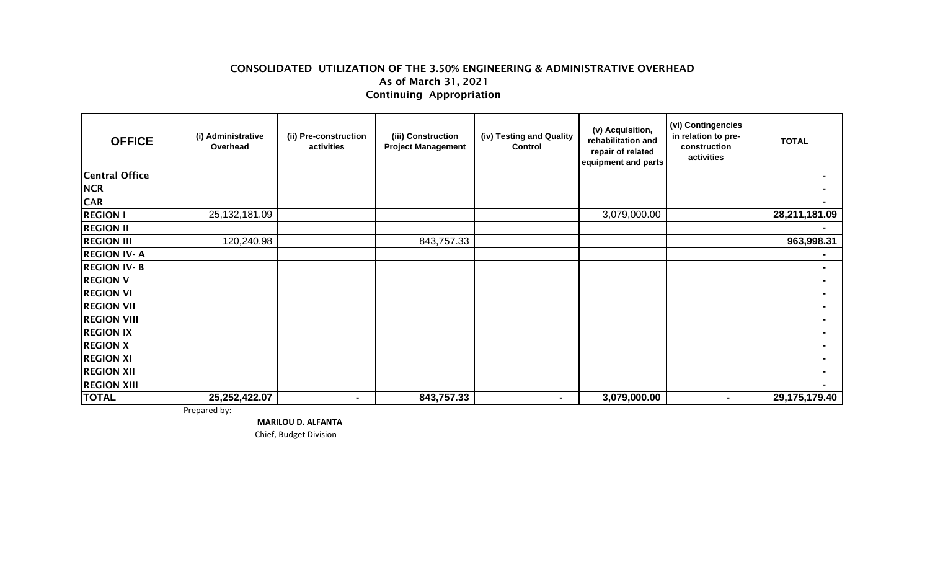## CONSOLIDATED UTILIZATION OF THE 3.50% ENGINEERING & ADMINISTRATIVE OVERHEAD As of March 31, 2021 Continuing Appropriation

| <b>OFFICE</b>         | (i) Administrative<br>Overhead | (ii) Pre-construction<br>activities | (iii) Construction<br><b>Project Management</b> | (iv) Testing and Quality<br><b>Control</b> | (v) Acquisition,<br>rehabilitation and<br>repair of related<br>equipment and parts | (vi) Contingencies<br>in relation to pre-<br>construction<br>activities | <b>TOTAL</b>   |
|-----------------------|--------------------------------|-------------------------------------|-------------------------------------------------|--------------------------------------------|------------------------------------------------------------------------------------|-------------------------------------------------------------------------|----------------|
| <b>Central Office</b> |                                |                                     |                                                 |                                            |                                                                                    |                                                                         |                |
| <b>NCR</b>            |                                |                                     |                                                 |                                            |                                                                                    |                                                                         |                |
| <b>CAR</b>            |                                |                                     |                                                 |                                            |                                                                                    |                                                                         |                |
| <b>REGION I</b>       | 25, 132, 181.09                |                                     |                                                 |                                            | 3,079,000.00                                                                       |                                                                         | 28,211,181.09  |
| <b>REGION II</b>      |                                |                                     |                                                 |                                            |                                                                                    |                                                                         |                |
| <b>REGION III</b>     | 120,240.98                     |                                     | 843,757.33                                      |                                            |                                                                                    |                                                                         | 963,998.31     |
| <b>REGION IV-A</b>    |                                |                                     |                                                 |                                            |                                                                                    |                                                                         |                |
| <b>REGION IV-B</b>    |                                |                                     |                                                 |                                            |                                                                                    |                                                                         | $\sim$         |
| <b>REGION V</b>       |                                |                                     |                                                 |                                            |                                                                                    |                                                                         |                |
| <b>REGION VI</b>      |                                |                                     |                                                 |                                            |                                                                                    |                                                                         | ۰.             |
| <b>REGION VII</b>     |                                |                                     |                                                 |                                            |                                                                                    |                                                                         | $\blacksquare$ |
| <b>REGION VIII</b>    |                                |                                     |                                                 |                                            |                                                                                    |                                                                         |                |
| <b>REGION IX</b>      |                                |                                     |                                                 |                                            |                                                                                    |                                                                         | $\blacksquare$ |
| <b>REGION X</b>       |                                |                                     |                                                 |                                            |                                                                                    |                                                                         |                |
| <b>REGION XI</b>      |                                |                                     |                                                 |                                            |                                                                                    |                                                                         |                |
| <b>REGION XII</b>     |                                |                                     |                                                 |                                            |                                                                                    |                                                                         | $\blacksquare$ |
| <b>REGION XIII</b>    |                                |                                     |                                                 |                                            |                                                                                    |                                                                         |                |
| <b>TOTAL</b>          | 25,252,422.07                  | ۰.                                  | 843,757.33                                      | $\blacksquare$                             | 3,079,000.00                                                                       | $\blacksquare$                                                          | 29,175,179.40  |

Prepared by:

 **MARILOU D. ALFANTA**